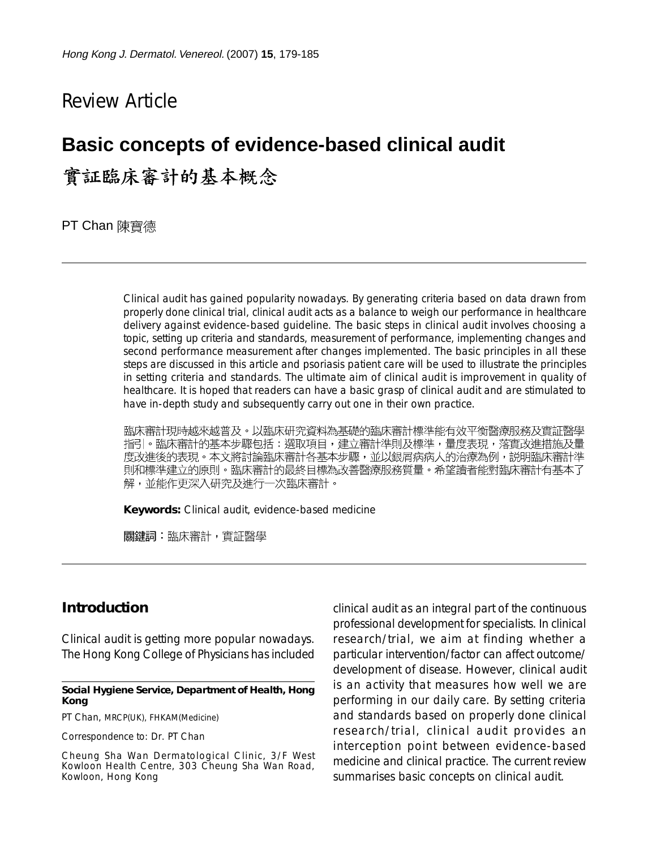# Review Article

# **Basic concepts of evidence-based clinical audit**

# 實証臨床審計的基本概念

PT Chan 陳寶德

Clinical audit has gained popularity nowadays. By generating criteria based on data drawn from properly done clinical trial, clinical audit acts as a balance to weigh our performance in healthcare delivery against evidence-based guideline. The basic steps in clinical audit involves choosing a topic, setting up criteria and standards, measurement of performance, implementing changes and second performance measurement after changes implemented. The basic principles in all these steps are discussed in this article and psoriasis patient care will be used to illustrate the principles in setting criteria and standards. The ultimate aim of clinical audit is improvement in quality of healthcare. It is hoped that readers can have a basic grasp of clinical audit and are stimulated to have in-depth study and subsequently carry out one in their own practice.

臨床審計現時越來越普及。以臨床研究資料為基礎的臨床審計標準能有效平衡醫療服務及實証醫學 指引。臨床審計的基本步驟包括:選取項目,建立審計準則及標準,量度表現,落實改進措施及量 度改進後的表現。本文將討論臨床審計各基本步驟,並以銀屑病病人的治療為例,説明臨床審計準 則和標準建立的原則。臨床審計的最終目標為改善醫療服務質量。希望讀者能對臨床審計有基本了 解,並能作更深入研究及進行一次臨床審計。

**Keywords:** Clinical audit, evidence-based medicine

關鍵詞:臨床審計,實証醫學

### **Introduction**

Clinical audit is getting more popular nowadays. The Hong Kong College of Physicians has included

#### **Social Hygiene Service, Department of Health, Hong Kong**

PT Chan, MRCP(UK), FHKAM(Medicine)

Correspondence to: Dr. PT Chan

Cheung Sha Wan Dermatological Clinic, 3/F West Kowloon Health Centre, 303 Cheung Sha Wan Road, Kowloon, Hong Kong

clinical audit as an integral part of the continuous professional development for specialists. In clinical research/trial, we aim at finding whether a particular intervention/factor can affect outcome/ development of disease. However, clinical audit is an activity that measures how well we are performing in our daily care. By setting criteria and standards based on properly done clinical research/trial, clinical audit provides an interception point between evidence-based medicine and clinical practice. The current review summarises basic concepts on clinical audit.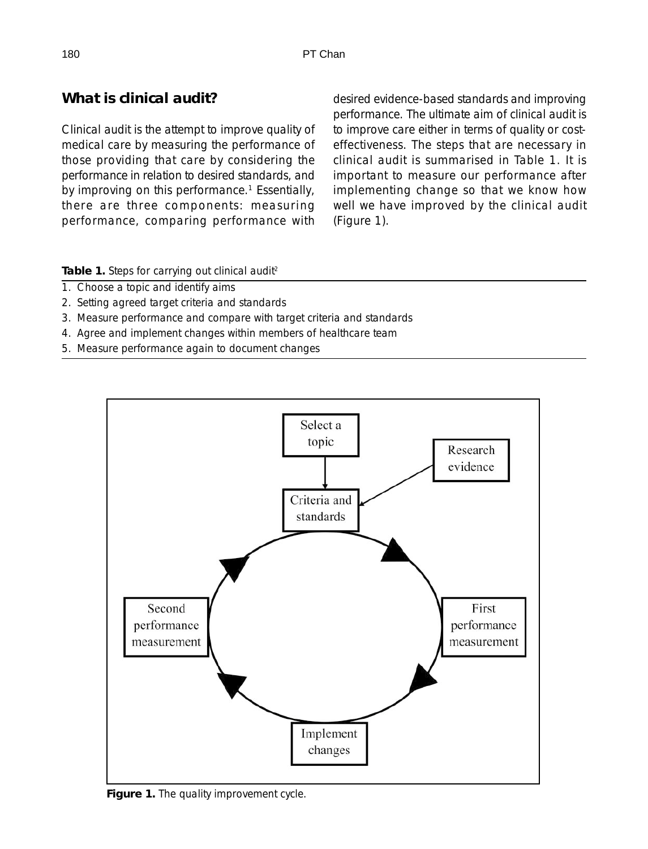# **What is clinical audit?**

Clinical audit is the attempt to improve quality of medical care by measuring the performance of those providing that care by considering the performance in relation to desired standards, and by improving on this performance.<sup>1</sup> Essentially, there are three components: measuring performance, comparing performance with desired evidence-based standards and improving performance. The ultimate aim of clinical audit is to improve care either in terms of quality or costeffectiveness. The steps that are necessary in clinical audit is summarised in Table 1. It is important to measure our performance after implementing change so that we know how well we have improved by the clinical audit (Figure 1).

Table 1. Steps for carrying out clinical audit<sup>2</sup>

- 1. Choose a topic and identify aims
- 2. Setting agreed target criteria and standards
- 3. Measure performance and compare with target criteria and standards
- 4. Agree and implement changes within members of healthcare team
- 5. Measure performance again to document changes



**Figure 1.** The quality improvement cycle.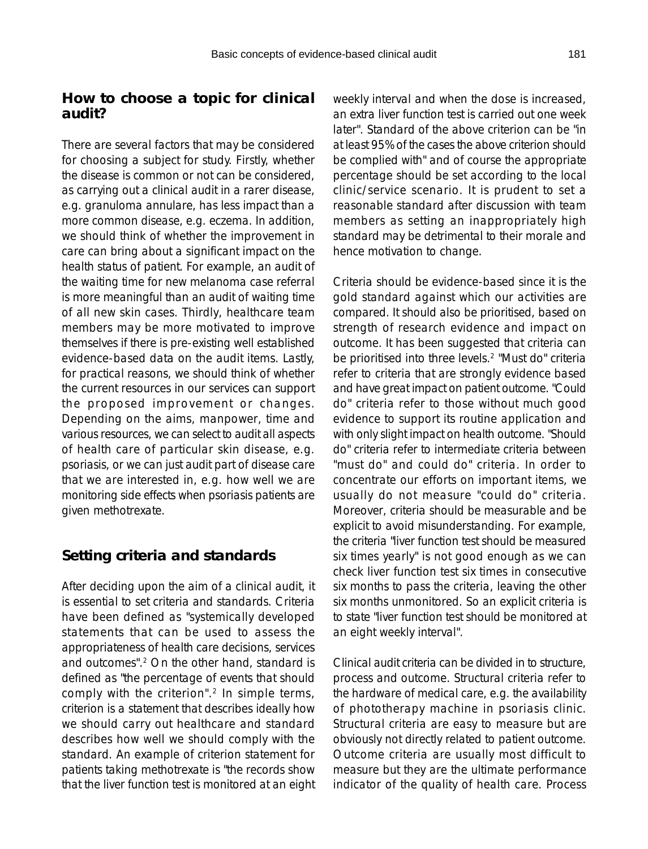### **How to choose a topic for clinical audit?**

There are several factors that may be considered for choosing a subject for study. Firstly, whether the disease is common or not can be considered, as carrying out a clinical audit in a rarer disease, e.g. granuloma annulare, has less impact than a more common disease, e.g. eczema. In addition, we should think of whether the improvement in care can bring about a significant impact on the health status of patient. For example, an audit of the waiting time for new melanoma case referral is more meaningful than an audit of waiting time of all new skin cases. Thirdly, healthcare team members may be more motivated to improve themselves if there is pre-existing well established evidence-based data on the audit items. Lastly, for practical reasons, we should think of whether the current resources in our services can support the proposed improvement or changes. Depending on the aims, manpower, time and various resources, we can select to audit all aspects of health care of particular skin disease, e.g. psoriasis, or we can just audit part of disease care that we are interested in, e.g. how well we are monitoring side effects when psoriasis patients are given methotrexate.

## **Setting criteria and standards**

After deciding upon the aim of a clinical audit, it is essential to set criteria and standards. Criteria have been defined as "systemically developed statements that can be used to assess the appropriateness of health care decisions, services and outcomes".2 On the other hand, standard is defined as "the percentage of events that should comply with the criterion".<sup>2</sup> In simple terms, criterion is a statement that describes ideally how we should carry out healthcare and standard describes how well we should comply with the standard. An example of criterion statement for patients taking methotrexate is "the records show that the liver function test is monitored at an eight weekly interval and when the dose is increased, an extra liver function test is carried out one week later". Standard of the above criterion can be "in at least 95% of the cases the above criterion should be complied with" and of course the appropriate percentage should be set according to the local clinic/service scenario. It is prudent to set a reasonable standard after discussion with team members as setting an inappropriately high standard may be detrimental to their morale and hence motivation to change.

Criteria should be evidence-based since it is the gold standard against which our activities are compared. It should also be prioritised, based on strength of research evidence and impact on outcome. It has been suggested that criteria can be prioritised into three levels.<sup>2</sup> "Must do" criteria refer to criteria that are strongly evidence based and have great impact on patient outcome. "Could do" criteria refer to those without much good evidence to support its routine application and with only slight impact on health outcome. "Should do" criteria refer to intermediate criteria between "must do" and could do" criteria. In order to concentrate our efforts on important items, we usually do not measure "could do" criteria. Moreover, criteria should be measurable and be explicit to avoid misunderstanding. For example, the criteria "liver function test should be measured six times yearly" is not good enough as we can check liver function test six times in consecutive six months to pass the criteria, leaving the other six months unmonitored. So an explicit criteria is to state "liver function test should be monitored at an eight weekly interval".

Clinical audit criteria can be divided in to structure, process and outcome. Structural criteria refer to the hardware of medical care, e.g. the availability of phototherapy machine in psoriasis clinic. Structural criteria are easy to measure but are obviously not directly related to patient outcome. Outcome criteria are usually most difficult to measure but they are the ultimate performance indicator of the quality of health care. Process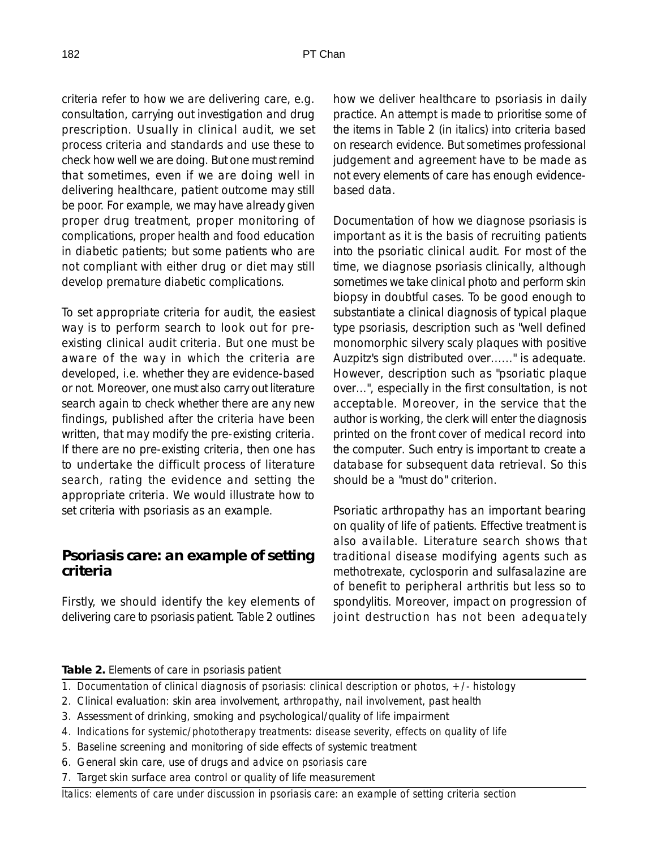criteria refer to how we are delivering care, e.g. consultation, carrying out investigation and drug prescription. Usually in clinical audit, we set process criteria and standards and use these to check how well we are doing. But one must remind that sometimes, even if we are doing well in delivering healthcare, patient outcome may still be poor. For example, we may have already given proper drug treatment, proper monitoring of complications, proper health and food education in diabetic patients; but some patients who are not compliant with either drug or diet may still develop premature diabetic complications.

To set appropriate criteria for audit, the easiest way is to perform search to look out for preexisting clinical audit criteria. But one must be aware of the way in which the criteria are developed, i.e. whether they are evidence-based or not. Moreover, one must also carry out literature search again to check whether there are any new findings, published after the criteria have been written, that may modify the pre-existing criteria. If there are no pre-existing criteria, then one has to undertake the difficult process of literature search, rating the evidence and setting the appropriate criteria. We would illustrate how to set criteria with psoriasis as an example.

### **Psoriasis care: an example of setting criteria**

Firstly, we should identify the key elements of delivering care to psoriasis patient. Table 2 outlines

how we deliver healthcare to psoriasis in daily practice. An attempt is made to prioritise some of the items in Table 2 (in italics) into criteria based on research evidence. But sometimes professional judgement and agreement have to be made as not every elements of care has enough evidencebased data.

Documentation of how we diagnose psoriasis is important as it is the basis of recruiting patients into the psoriatic clinical audit. For most of the time, we diagnose psoriasis clinically, although sometimes we take clinical photo and perform skin biopsy in doubtful cases. To be good enough to substantiate a clinical diagnosis of typical plaque type psoriasis, description such as "well defined monomorphic silvery scaly plaques with positive Auzpitz's sign distributed over......" is adequate. However, description such as "psoriatic plaque over...", especially in the first consultation, is not acceptable. Moreover, in the service that the author is working, the clerk will enter the diagnosis printed on the front cover of medical record into the computer. Such entry is important to create a database for subsequent data retrieval. So this should be a "must do" criterion.

Psoriatic arthropathy has an important bearing on quality of life of patients. Effective treatment is also available. Literature search shows that traditional disease modifying agents such as methotrexate, cyclosporin and sulfasalazine are of benefit to peripheral arthritis but less so to spondylitis. Moreover, impact on progression of joint destruction has not been adequately

#### **Table 2.** Elements of care in psoriasis patient

- 1. *Documentation of clinical diagnosis of psoriasis: clinical description or photos, +/- histology*
- 2. Clinical evaluation: skin area involvement, *arthropathy, nail involvement*, past health
- 3. Assessment of drinking, smoking and psychological/quality of life impairment
- 4. *Indications for systemic/phototherapy treatments: disease severity, effects on quality of life*
- 5. Baseline screening and monitoring of side effects of systemic treatment
- 6. General skin care, use of drugs and *advice on psoriasis care*
- 7. Target skin surface area control or quality of life measurement

*Italics: elements of care under discussion in psoriasis care: an example of setting criteria section*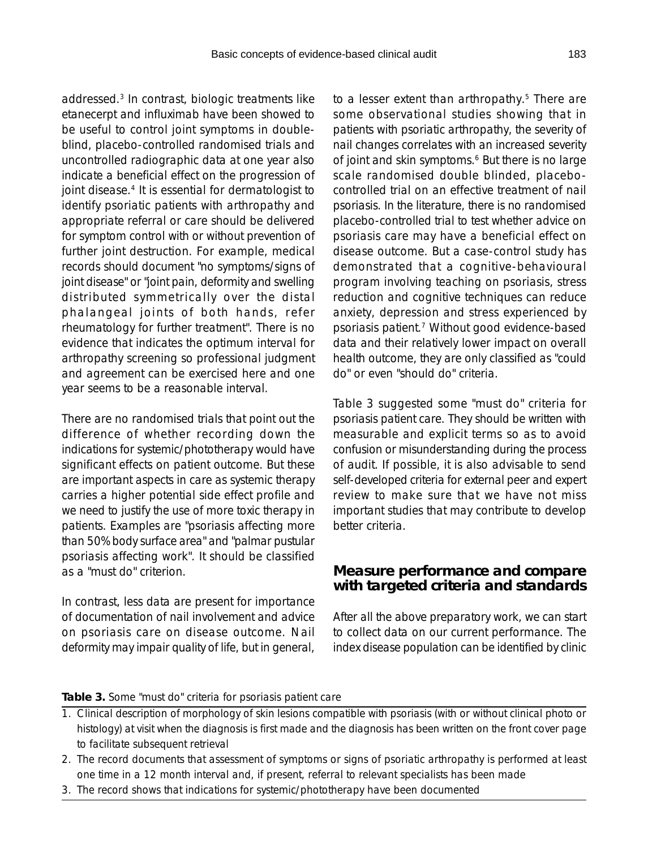addressed.<sup>3</sup> In contrast, biologic treatments like etanecerpt and influximab have been showed to be useful to control joint symptoms in doubleblind, placebo-controlled randomised trials and uncontrolled radiographic data at one year also indicate a beneficial effect on the progression of joint disease.<sup>4</sup> It is essential for dermatologist to identify psoriatic patients with arthropathy and appropriate referral or care should be delivered for symptom control with or without prevention of further joint destruction. For example, medical records should document "no symptoms/signs of joint disease" or "joint pain, deformity and swelling distributed symmetrically over the distal phalangeal joints of both hands, refer rheumatology for further treatment". There is no evidence that indicates the optimum interval for arthropathy screening so professional judgment and agreement can be exercised here and one year seems to be a reasonable interval.

There are no randomised trials that point out the difference of whether recording down the indications for systemic/phototherapy would have significant effects on patient outcome. But these are important aspects in care as systemic therapy carries a higher potential side effect profile and we need to justify the use of more toxic therapy in patients. Examples are "psoriasis affecting more than 50% body surface area" and "palmar pustular psoriasis affecting work". It should be classified as a "must do" criterion.

In contrast, less data are present for importance of documentation of nail involvement and advice on psoriasis care on disease outcome. Nail deformity may impair quality of life, but in general,

to a lesser extent than arthropathy.<sup>5</sup> There are some observational studies showing that in patients with psoriatic arthropathy, the severity of nail changes correlates with an increased severity of joint and skin symptoms.<sup>6</sup> But there is no large scale randomised double blinded, placebocontrolled trial on an effective treatment of nail psoriasis. In the literature, there is no randomised placebo-controlled trial to test whether advice on psoriasis care may have a beneficial effect on disease outcome. But a case-control study has demonstrated that a cognitive-behavioural program involving teaching on psoriasis, stress reduction and cognitive techniques can reduce anxiety, depression and stress experienced by psoriasis patient.7 Without good evidence-based data and their relatively lower impact on overall health outcome, they are only classified as "could do" or even "should do" criteria.

Table 3 suggested some "must do" criteria for psoriasis patient care. They should be written with measurable and explicit terms so as to avoid confusion or misunderstanding during the process of audit. If possible, it is also advisable to send self-developed criteria for external peer and expert review to make sure that we have not miss important studies that may contribute to develop better criteria.

## **Measure performance and compare with targeted criteria and standards**

After all the above preparatory work, we can start to collect data on our current performance. The index disease population can be identified by clinic

#### **Table 3.** Some "must do" criteria for psoriasis patient care

- 1. Clinical description of morphology of skin lesions compatible with psoriasis (with or without clinical photo or histology) at visit when the diagnosis is first made and the diagnosis has been written on the front cover page to facilitate subsequent retrieval
- 2. The record documents that assessment of symptoms or signs of psoriatic arthropathy is performed at least one time in a 12 month interval and, if present, referral to relevant specialists has been made
- 3. The record shows that indications for systemic/phototherapy have been documented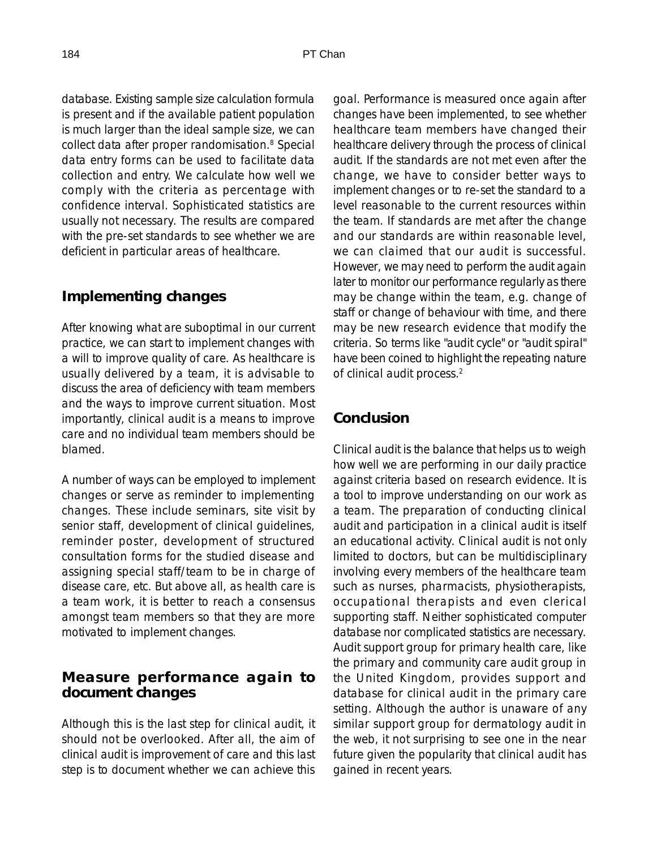database. Existing sample size calculation formula is present and if the available patient population is much larger than the ideal sample size, we can collect data after proper randomisation.8 Special data entry forms can be used to facilitate data collection and entry. We calculate how well we comply with the criteria as percentage with confidence interval. Sophisticated statistics are usually not necessary. The results are compared with the pre-set standards to see whether we are deficient in particular areas of healthcare.

#### **Implementing changes**

After knowing what are suboptimal in our current practice, we can start to implement changes with a will to improve quality of care. As healthcare is usually delivered by a team, it is advisable to discuss the area of deficiency with team members and the ways to improve current situation. Most importantly, clinical audit is a means to improve care and no individual team members should be blamed.

A number of ways can be employed to implement changes or serve as reminder to implementing changes. These include seminars, site visit by senior staff, development of clinical guidelines, reminder poster, development of structured consultation forms for the studied disease and assigning special staff/team to be in charge of disease care, etc. But above all, as health care is a team work, it is better to reach a consensus amongst team members so that they are more motivated to implement changes.

#### **Measure performance again to document changes**

Although this is the last step for clinical audit, it should not be overlooked. After all, the aim of clinical audit is improvement of care and this last step is to document whether we can achieve this

goal. Performance is measured once again after changes have been implemented, to see whether healthcare team members have changed their healthcare delivery through the process of clinical audit. If the standards are not met even after the change, we have to consider better ways to implement changes or to re-set the standard to a level reasonable to the current resources within the team. If standards are met after the change and our standards are within reasonable level, we can claimed that our audit is successful. However, we may need to perform the audit again later to monitor our performance regularly as there may be change within the team, e.g. change of staff or change of behaviour with time, and there may be new research evidence that modify the criteria. So terms like "audit cycle" or "audit spiral" have been coined to highlight the repeating nature of clinical audit process.2

### **Conclusion**

Clinical audit is the balance that helps us to weigh how well we are performing in our daily practice against criteria based on research evidence. It is a tool to improve understanding on our work as a team. The preparation of conducting clinical audit and participation in a clinical audit is itself an educational activity. Clinical audit is not only limited to doctors, but can be multidisciplinary involving every members of the healthcare team such as nurses, pharmacists, physiotherapists, occupational therapists and even clerical supporting staff. Neither sophisticated computer database nor complicated statistics are necessary. Audit support group for primary health care, like the primary and community care audit group in the United Kingdom, provides support and database for clinical audit in the primary care setting. Although the author is unaware of any similar support group for dermatology audit in the web, it not surprising to see one in the near future given the popularity that clinical audit has gained in recent years.